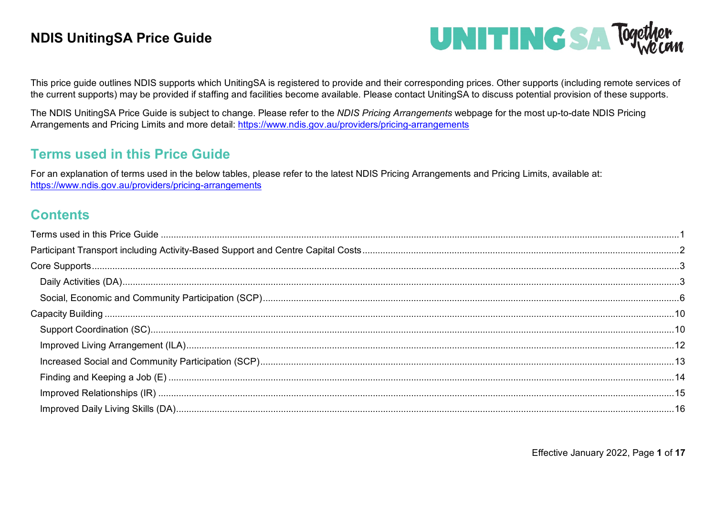

This price guide outlines NDIS supports which UnitingSA is registered to provide and their corresponding prices. Other supports (including remote services of the current supports) may be provided if staffing and facilities become available. Please contact UnitingSA to discuss potential provision of these supports.

The NDIS UnitingSA Price Guide is subject to change. Please refer to the *NDIS Pricing Arrangements* webpage for the most up-to-date NDIS Pricing Arrangements and Pricing Limits and more detail:<https://www.ndis.gov.au/providers/pricing-arrangements>

### <span id="page-0-0"></span>**Terms used in this Price Guide**

For an explanation of terms used in the below tables, please refer to the latest NDIS Pricing Arrangements and Pricing Limits, available at: <https://www.ndis.gov.au/providers/pricing-arrangements>

### **Contents**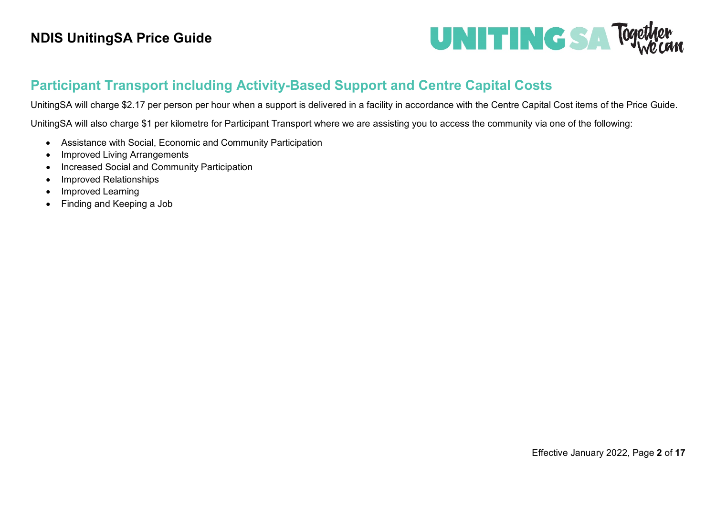

## <span id="page-1-0"></span>**Participant Transport including Activity-Based Support and Centre Capital Costs**

UnitingSA will charge \$2.17 per person per hour when a support is delivered in a facility in accordance with the Centre Capital Cost items of the Price Guide.

UnitingSA will also charge \$1 per kilometre for Participant Transport where we are assisting you to access the community via one of the following:

- Assistance with Social, Economic and Community Participation
- Improved Living Arrangements
- Increased Social and Community Participation
- Improved Relationships
- Improved Learning
- Finding and Keeping a Job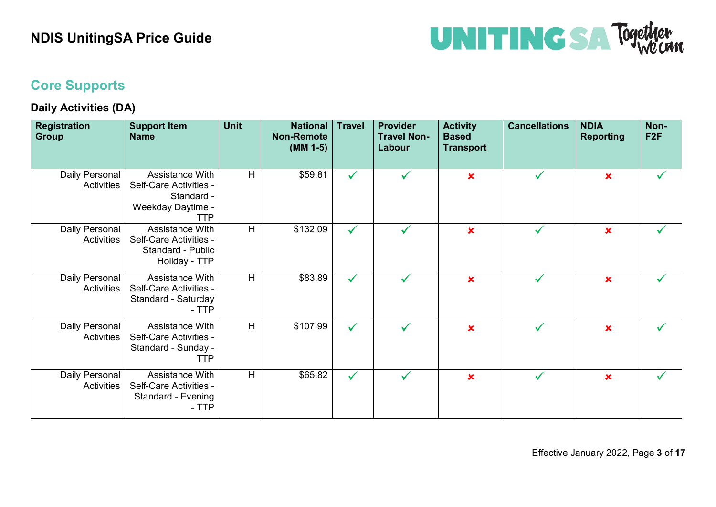

## <span id="page-2-0"></span>**Core Supports**

### <span id="page-2-1"></span>**Daily Activities (DA)**

| <b>Registration</b><br><b>Group</b> | <b>Support Item</b><br><b>Name</b>                                                     | <b>Unit</b> | <b>National</b><br><b>Non-Remote</b><br>$(MM 1-5)$ | <b>Travel</b> | <b>Provider</b><br><b>Travel Non-</b><br>Labour | <b>Activity</b><br><b>Based</b><br><b>Transport</b> | <b>Cancellations</b> | <b>NDIA</b><br><b>Reporting</b> | Non-<br>F <sub>2F</sub> |
|-------------------------------------|----------------------------------------------------------------------------------------|-------------|----------------------------------------------------|---------------|-------------------------------------------------|-----------------------------------------------------|----------------------|---------------------------------|-------------------------|
| Daily Personal<br>Activities        | Assistance With<br>Self-Care Activities -<br>Standard -<br>Weekday Daytime -<br>TTP    | H           | \$59.81                                            | $\checkmark$  | $\checkmark$                                    | $\pmb{\times}$                                      | ✓                    | ×                               |                         |
| Daily Personal<br>Activities        | <b>Assistance With</b><br>Self-Care Activities -<br>Standard - Public<br>Holiday - TTP | H           | \$132.09                                           | $\checkmark$  | $\checkmark$                                    | $\pmb{\times}$                                      | ✓                    | $\boldsymbol{\mathsf{x}}$       |                         |
| Daily Personal<br>Activities        | Assistance With<br>Self-Care Activities -<br>Standard - Saturday<br>- TTP              | H           | \$83.89                                            | $\checkmark$  | $\checkmark$                                    | $\pmb{\times}$                                      | $\checkmark$         | $\boldsymbol{\mathsf{x}}$       |                         |
| Daily Personal<br>Activities        | <b>Assistance With</b><br>Self-Care Activities -<br>Standard - Sunday -<br>TTP         | H           | \$107.99                                           | $\checkmark$  | $\checkmark$                                    | $\pmb{\times}$                                      | $\checkmark$         | $\mathbf x$                     |                         |
| Daily Personal<br>Activities        | <b>Assistance With</b><br>Self-Care Activities -<br><b>Standard - Evening</b><br>- TTP | H           | \$65.82                                            | $\checkmark$  | $\checkmark$                                    | $\pmb{\times}$                                      | $\checkmark$         | $\mathbf x$                     |                         |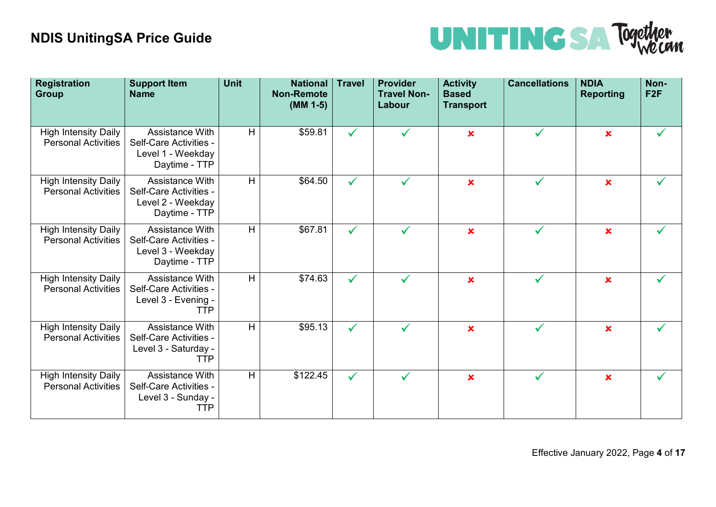

| <b>Registration</b><br><b>Group</b>                       | <b>Support Item</b><br><b>Name</b>                                                     | <b>Unit</b>             | <b>National</b><br><b>Non-Remote</b><br>$(MM 1-5)$ | <b>Travel</b> | <b>Provider</b><br><b>Travel Non-</b><br>Labour | <b>Activity</b><br><b>Based</b><br><b>Transport</b> | <b>Cancellations</b> | <b>NDIA</b><br><b>Reporting</b> | Non-<br>F2F  |
|-----------------------------------------------------------|----------------------------------------------------------------------------------------|-------------------------|----------------------------------------------------|---------------|-------------------------------------------------|-----------------------------------------------------|----------------------|---------------------------------|--------------|
| <b>High Intensity Daily</b><br><b>Personal Activities</b> | Assistance With<br>Self-Care Activities -<br>Level 1 - Weekday<br>Daytime - TTP        | H                       | \$59.81                                            | $\checkmark$  | $\checkmark$                                    | $\pmb{\times}$                                      | ✓                    | $\pmb{\times}$                  | $\checkmark$ |
| <b>High Intensity Daily</b><br><b>Personal Activities</b> | <b>Assistance With</b><br>Self-Care Activities -<br>Level 2 - Weekday<br>Daytime - TTP | $\overline{\mathsf{H}}$ | \$64.50                                            | $\checkmark$  |                                                 | $\overline{\mathbf{x}}$                             |                      | ×                               |              |
| <b>High Intensity Daily</b><br><b>Personal Activities</b> | <b>Assistance With</b><br>Self-Care Activities -<br>Level 3 - Weekday<br>Daytime - TTP | H                       | \$67.81                                            | $\checkmark$  | ✓                                               | $\pmb{\times}$                                      | ✓                    | $\pmb{\times}$                  |              |
| <b>High Intensity Daily</b><br><b>Personal Activities</b> | <b>Assistance With</b><br>Self-Care Activities -<br>Level 3 - Evening -<br><b>TTP</b>  | H                       | \$74.63                                            | $\checkmark$  |                                                 | $\overline{\mathbf{x}}$                             |                      | $\pmb{\times}$                  |              |
| <b>High Intensity Daily</b><br><b>Personal Activities</b> | <b>Assistance With</b><br>Self-Care Activities -<br>Level 3 - Saturday -<br><b>TTP</b> | $\overline{\mathsf{H}}$ | \$95.13                                            | $\checkmark$  |                                                 | $\pmb{\times}$                                      |                      | $\pmb{\times}$                  |              |
| <b>High Intensity Daily</b><br><b>Personal Activities</b> | <b>Assistance With</b><br>Self-Care Activities -<br>Level 3 - Sunday -<br>TTP          | H                       | \$122.45                                           | $\checkmark$  | $\checkmark$                                    | $\pmb{\times}$                                      | ✓                    | $\pmb{\times}$                  | $\checkmark$ |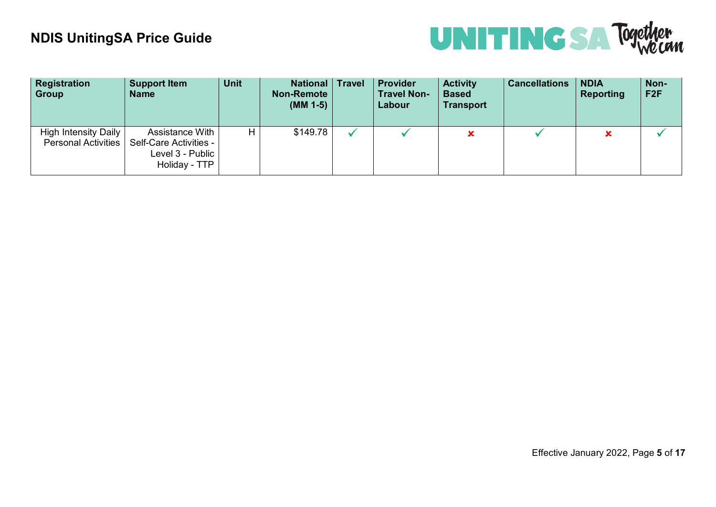

| <b>Registration</b><br>Group                              | <b>Support Item</b><br><b>Name</b>                                                      | <b>Unit</b> | National Travel<br><b>Non-Remote</b><br>$(MM 1-5)$ | Provider<br><b>Travel Non-</b><br>Labour | <b>Activity</b><br><b>Based</b><br><b>Transport</b> | <b>Cancellations</b> | <b>NDIA</b><br><b>Reporting</b> | Non-<br>F2F |
|-----------------------------------------------------------|-----------------------------------------------------------------------------------------|-------------|----------------------------------------------------|------------------------------------------|-----------------------------------------------------|----------------------|---------------------------------|-------------|
| <b>High Intensity Daily</b><br><b>Personal Activities</b> | Assistance With<br><b>Self-Care Activities -</b><br>Level 3 - Public  <br>Holiday - TTP | H           | \$149.78                                           |                                          | ×                                                   |                      | $\mathbf x$                     |             |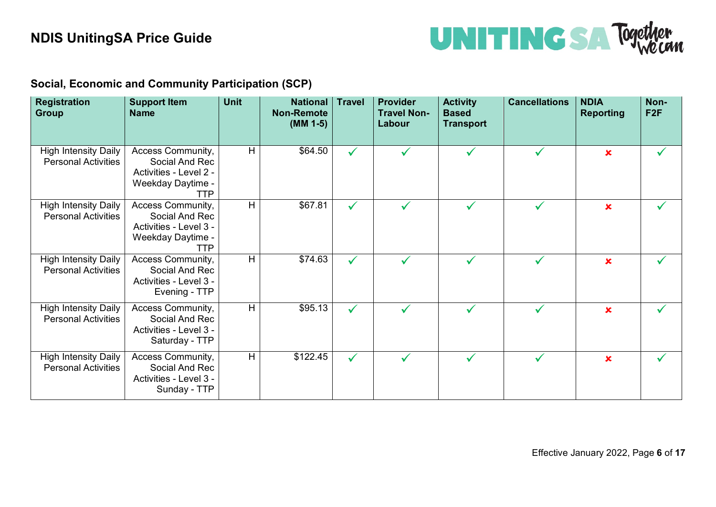

<span id="page-5-0"></span>**Social, Economic and Community Participation (SCP)**

| <b>Registration</b><br><b>Group</b>                       | <b>Support Item</b><br><b>Name</b>                                                               | <b>Unit</b> | <b>National</b><br><b>Non-Remote</b><br>$(MM 1-5)$ | <b>Travel</b> | <b>Provider</b><br><b>Travel Non-</b><br>Labour | <b>Activity</b><br><b>Based</b><br><b>Transport</b> | <b>Cancellations</b> | <b>NDIA</b><br><b>Reporting</b> | Non-<br>F <sub>2F</sub> |
|-----------------------------------------------------------|--------------------------------------------------------------------------------------------------|-------------|----------------------------------------------------|---------------|-------------------------------------------------|-----------------------------------------------------|----------------------|---------------------------------|-------------------------|
|                                                           |                                                                                                  |             |                                                    |               |                                                 |                                                     |                      |                                 |                         |
| <b>High Intensity Daily</b><br><b>Personal Activities</b> | Access Community,<br>Social And Rec<br>Activities - Level 2 -<br>Weekday Daytime -<br><b>TTP</b> | H           | \$64.50                                            | $\checkmark$  | $\checkmark$                                    | ✓                                                   | $\checkmark$         | ×                               |                         |
| <b>High Intensity Daily</b><br><b>Personal Activities</b> | Access Community,<br>Social And Rec<br>Activities - Level 3 -<br>Weekday Daytime -<br>TTP        | H           | \$67.81                                            |               |                                                 |                                                     |                      | $\overline{\mathbf{x}}$         |                         |
| <b>High Intensity Daily</b><br><b>Personal Activities</b> | Access Community,<br>Social And Rec<br>Activities - Level 3 -<br>Evening - TTP                   | H           | \$74.63                                            | $\checkmark$  |                                                 | ✓                                                   |                      | $\mathbf x$                     |                         |
| <b>High Intensity Daily</b><br><b>Personal Activities</b> | Access Community,<br>Social And Rec<br>Activities - Level 3 -<br>Saturday - TTP                  | H           | \$95.13                                            | $\checkmark$  |                                                 | $\checkmark$                                        |                      | $\mathbf x$                     |                         |
| <b>High Intensity Daily</b><br><b>Personal Activities</b> | Access Community,<br>Social And Rec<br>Activities - Level 3 -<br>Sunday - TTP                    | H           | \$122.45                                           | $\checkmark$  |                                                 | $\checkmark$                                        |                      | ×                               |                         |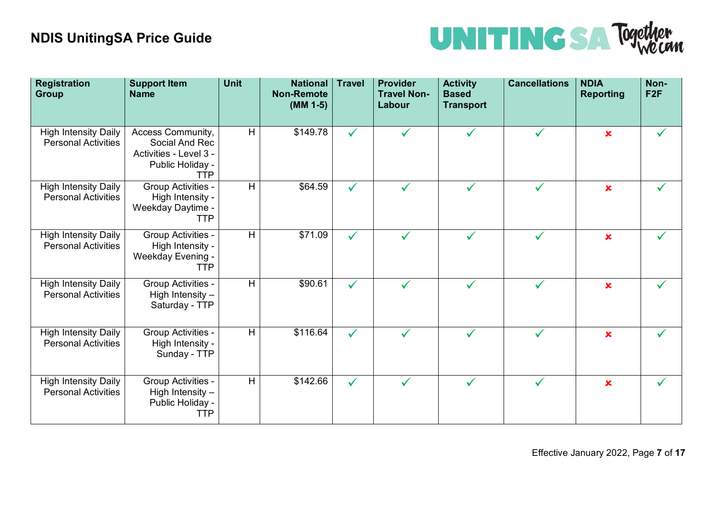

| <b>Registration</b><br><b>Group</b>                       | <b>Support Item</b><br><b>Name</b>                                                       | <b>Unit</b>    | <b>National</b><br><b>Non-Remote</b><br>$(MM 1-5)$ | <b>Travel</b> | <b>Provider</b><br><b>Travel Non-</b><br>Labour | <b>Activity</b><br><b>Based</b><br><b>Transport</b> | <b>Cancellations</b> | <b>NDIA</b><br><b>Reporting</b> | Non-<br>F2F  |
|-----------------------------------------------------------|------------------------------------------------------------------------------------------|----------------|----------------------------------------------------|---------------|-------------------------------------------------|-----------------------------------------------------|----------------------|---------------------------------|--------------|
| <b>High Intensity Daily</b><br><b>Personal Activities</b> | Access Community,<br>Social And Rec<br>Activities - Level 3 -<br>Public Holiday -<br>TTP | H              | \$149.78                                           | $\checkmark$  |                                                 |                                                     |                      | ×                               |              |
| <b>High Intensity Daily</b><br><b>Personal Activities</b> | <b>Group Activities -</b><br>High Intensity -<br>Weekday Daytime -<br><b>TTP</b>         | H              | \$64.59                                            | $\checkmark$  |                                                 | ✓                                                   | $\checkmark$         | $\pmb{\times}$                  |              |
| <b>High Intensity Daily</b><br><b>Personal Activities</b> | <b>Group Activities -</b><br>High Intensity -<br>Weekday Evening -<br><b>TTP</b>         | $\overline{H}$ | \$71.09                                            | $\checkmark$  |                                                 | ✓                                                   | ✓                    | $\mathbf x$                     |              |
| <b>High Intensity Daily</b><br><b>Personal Activities</b> | <b>Group Activities -</b><br>High Intensity -<br>Saturday - TTP                          | H              | \$90.61                                            | $\checkmark$  |                                                 |                                                     |                      | $\overline{\textbf{x}}$         |              |
| <b>High Intensity Daily</b><br><b>Personal Activities</b> | <b>Group Activities -</b><br>High Intensity -<br>Sunday - TTP                            | H              | \$116.64                                           | $\checkmark$  |                                                 | $\checkmark$                                        | $\checkmark$         | ×                               |              |
| <b>High Intensity Daily</b><br><b>Personal Activities</b> | <b>Group Activities -</b><br>High Intensity -<br>Public Holiday -<br><b>TTP</b>          | H              | \$142.66                                           | $\checkmark$  | $\checkmark$                                    | $\checkmark$                                        | $\checkmark$         | ×                               | $\checkmark$ |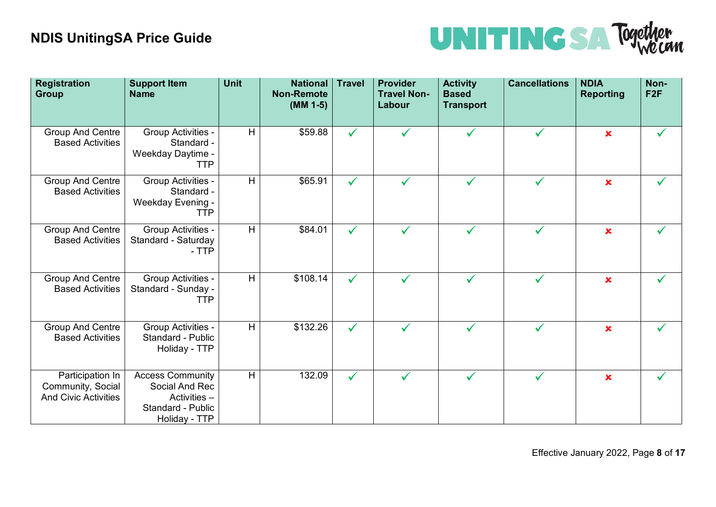

| <b>Registration</b><br><b>Group</b>                                  | <b>Support Item</b><br><b>Name</b>                                                              | <b>Unit</b>    | <b>National</b><br><b>Non-Remote</b><br>$(MM 1-5)$ | <b>Travel</b> | <b>Provider</b><br><b>Travel Non-</b><br>Labour | <b>Activity</b><br><b>Based</b><br><b>Transport</b> | <b>Cancellations</b> | <b>NDIA</b><br><b>Reporting</b> | Non-<br>F <sub>2F</sub> |
|----------------------------------------------------------------------|-------------------------------------------------------------------------------------------------|----------------|----------------------------------------------------|---------------|-------------------------------------------------|-----------------------------------------------------|----------------------|---------------------------------|-------------------------|
| <b>Group And Centre</b><br><b>Based Activities</b>                   | <b>Group Activities -</b><br>Standard -<br>Weekday Daytime -<br><b>TTP</b>                      | H              | \$59.88                                            | $\checkmark$  |                                                 | ✓                                                   | $\checkmark$         | $\mathbf x$                     |                         |
| <b>Group And Centre</b><br><b>Based Activities</b>                   | <b>Group Activities -</b><br>Standard -<br>Weekday Evening -<br>TTP                             | H              | \$65.91                                            | $\checkmark$  | ✓                                               | ✓                                                   | ✓                    | $\mathbf x$                     |                         |
| <b>Group And Centre</b><br><b>Based Activities</b>                   | <b>Group Activities -</b><br>Standard - Saturday<br>- TTP                                       | $\overline{H}$ | \$84.01                                            | $\checkmark$  |                                                 |                                                     |                      | $\mathbf x$                     |                         |
| <b>Group And Centre</b><br><b>Based Activities</b>                   | <b>Group Activities -</b><br>Standard - Sunday -<br><b>TTP</b>                                  | H              | \$108.14                                           | $\checkmark$  | $\checkmark$                                    | $\checkmark$                                        | $\checkmark$         | $\mathbf x$                     |                         |
| <b>Group And Centre</b><br><b>Based Activities</b>                   | <b>Group Activities -</b><br>Standard - Public<br>Holiday - TTP                                 | H              | \$132.26                                           | $\checkmark$  |                                                 | $\checkmark$                                        | $\checkmark$         | $\pmb{\times}$                  |                         |
| Participation In<br>Community, Social<br><b>And Civic Activities</b> | <b>Access Community</b><br>Social And Rec<br>Activities -<br>Standard - Public<br>Holiday - TTP | $\overline{H}$ | 132.09                                             | $\checkmark$  |                                                 | ✓                                                   | $\checkmark$         | $\mathbf x$                     |                         |

Effective January 2022, Page **8** of **17**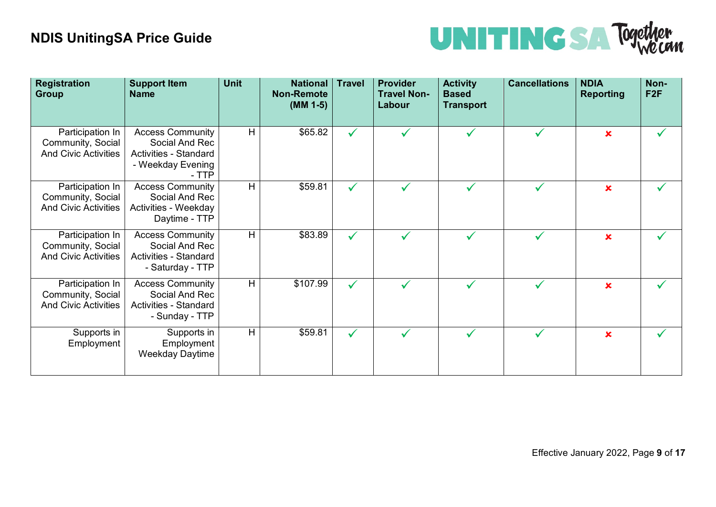

| <b>Registration</b><br><b>Group</b>                                  | <b>Support Item</b><br><b>Name</b>                                                                      | <b>Unit</b> | <b>National</b><br><b>Non-Remote</b><br>$(MM 1-5)$ | <b>Travel</b> | <b>Provider</b><br><b>Travel Non-</b><br>Labour | <b>Activity</b><br><b>Based</b><br><b>Transport</b> | <b>Cancellations</b> | <b>NDIA</b><br><b>Reporting</b> | Non-<br>F <sub>2F</sub> |
|----------------------------------------------------------------------|---------------------------------------------------------------------------------------------------------|-------------|----------------------------------------------------|---------------|-------------------------------------------------|-----------------------------------------------------|----------------------|---------------------------------|-------------------------|
| Participation In<br>Community, Social<br><b>And Civic Activities</b> | <b>Access Community</b><br>Social And Rec<br><b>Activities - Standard</b><br>- Weekday Evening<br>- TTP | H           | \$65.82                                            | $\checkmark$  |                                                 | ✓                                                   | ✓                    | $\pmb{\times}$                  |                         |
| Participation In<br>Community, Social<br><b>And Civic Activities</b> | <b>Access Community</b><br>Social And Rec<br>Activities - Weekday<br>Daytime - TTP                      | H           | \$59.81                                            | $\checkmark$  |                                                 |                                                     |                      | ×                               |                         |
| Participation In<br>Community, Social<br><b>And Civic Activities</b> | <b>Access Community</b><br>Social And Rec<br><b>Activities - Standard</b><br>- Saturday - TTP           | H           | \$83.89                                            | $\checkmark$  |                                                 | ✓                                                   | ✓                    | $\pmb{\times}$                  |                         |
| Participation In<br>Community, Social<br><b>And Civic Activities</b> | <b>Access Community</b><br>Social And Rec<br>Activities - Standard<br>- Sunday - TTP                    | H           | \$107.99                                           | $\checkmark$  |                                                 | $\checkmark$                                        | ✓                    | $\overline{\mathbf{x}}$         |                         |
| Supports in<br>Employment                                            | Supports in<br>Employment<br>Weekday Daytime                                                            | H           | \$59.81                                            | $\checkmark$  |                                                 |                                                     |                      | $\mathbf x$                     |                         |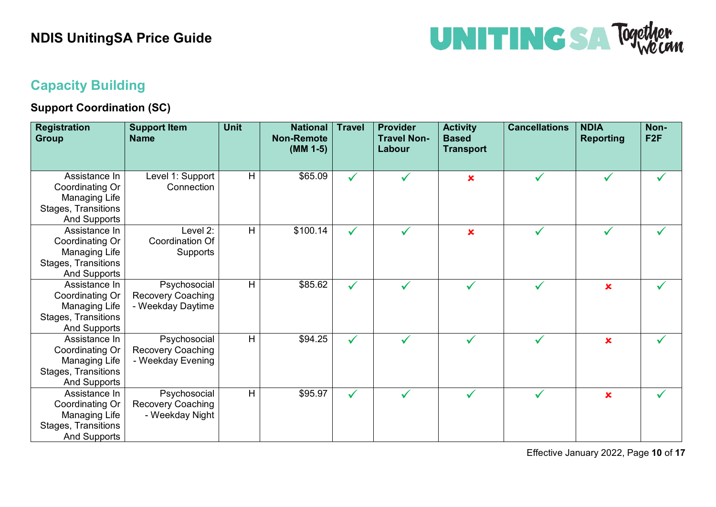

## <span id="page-9-0"></span>**Capacity Building**

### <span id="page-9-1"></span>**Support Coordination (SC)**

| <b>Registration</b><br><b>Group</b>                                                                    | <b>Support Item</b><br><b>Name</b>                            | <b>Unit</b> | <b>National</b><br><b>Non-Remote</b><br>$(MM 1-5)$ | <b>Travel</b> | <b>Provider</b><br><b>Travel Non-</b><br>Labour | <b>Activity</b><br><b>Based</b><br><b>Transport</b> | <b>Cancellations</b> | <b>NDIA</b><br><b>Reporting</b> | Non-<br>F2F |
|--------------------------------------------------------------------------------------------------------|---------------------------------------------------------------|-------------|----------------------------------------------------|---------------|-------------------------------------------------|-----------------------------------------------------|----------------------|---------------------------------|-------------|
| Assistance In<br>Coordinating Or<br>Managing Life<br>Stages, Transitions<br><b>And Supports</b>        | Level 1: Support<br>Connection                                | H           | \$65.09                                            | $\checkmark$  |                                                 | $\mathbf x$                                         |                      |                                 |             |
| Assistance In<br>Coordinating Or<br>Managing Life<br><b>Stages, Transitions</b><br><b>And Supports</b> | Level 2:<br>Coordination Of<br>Supports                       | H           | \$100.14                                           | $\checkmark$  |                                                 | $\pmb{\times}$                                      |                      |                                 |             |
| Assistance In<br>Coordinating Or<br>Managing Life<br><b>Stages, Transitions</b><br><b>And Supports</b> | Psychosocial<br><b>Recovery Coaching</b><br>- Weekday Daytime | H           | \$85.62                                            | $\checkmark$  |                                                 | $\checkmark$                                        | ✓                    | $\mathbf x$                     |             |
| Assistance In<br>Coordinating Or<br>Managing Life<br>Stages, Transitions<br><b>And Supports</b>        | Psychosocial<br><b>Recovery Coaching</b><br>- Weekday Evening | H           | \$94.25                                            | $\checkmark$  |                                                 | ✓                                                   | $\checkmark$         | $\mathbf x$                     |             |
| Assistance In<br>Coordinating Or<br>Managing Life<br>Stages, Transitions<br><b>And Supports</b>        | Psychosocial<br><b>Recovery Coaching</b><br>- Weekday Night   | H           | \$95.97                                            | $\checkmark$  | ✓                                               | ✓                                                   | ✓                    | $\mathbf x$                     |             |

Effective January 2022, Page **10** of **17**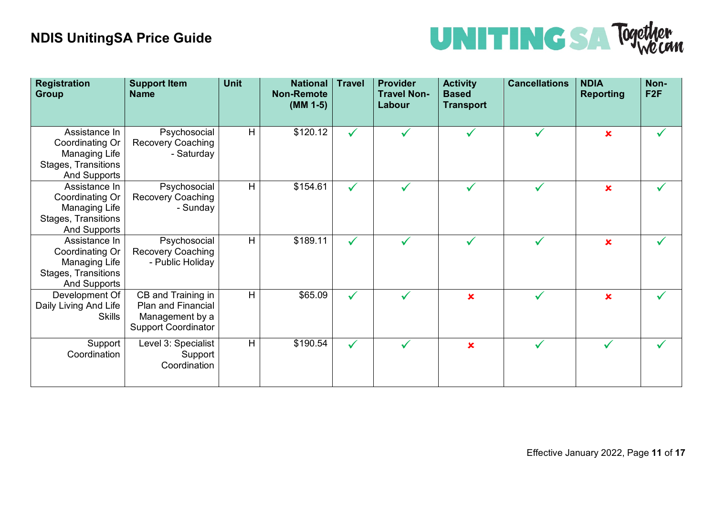

| <b>Registration</b><br><b>Group</b>                                                                    | <b>Support Item</b><br><b>Name</b>                                                        | <b>Unit</b> | <b>National</b><br><b>Non-Remote</b><br>$(MM 1-5)$ | <b>Travel</b> | <b>Provider</b><br><b>Travel Non-</b><br>Labour | <b>Activity</b><br><b>Based</b><br><b>Transport</b> | <b>Cancellations</b> | <b>NDIA</b><br><b>Reporting</b> | Non-<br>F2F |
|--------------------------------------------------------------------------------------------------------|-------------------------------------------------------------------------------------------|-------------|----------------------------------------------------|---------------|-------------------------------------------------|-----------------------------------------------------|----------------------|---------------------------------|-------------|
| Assistance In<br>Coordinating Or<br>Managing Life<br><b>Stages, Transitions</b><br><b>And Supports</b> | Psychosocial<br><b>Recovery Coaching</b><br>- Saturday                                    | H           | \$120.12                                           | $\checkmark$  |                                                 |                                                     |                      | ×                               |             |
| Assistance In<br>Coordinating Or<br>Managing Life<br><b>Stages, Transitions</b><br><b>And Supports</b> | Psychosocial<br>Recovery Coaching<br>- Sunday                                             | H           | \$154.61                                           | $\checkmark$  |                                                 |                                                     |                      | $\overline{\textbf{x}}$         |             |
| Assistance In<br>Coordinating Or<br>Managing Life<br><b>Stages, Transitions</b><br><b>And Supports</b> | Psychosocial<br><b>Recovery Coaching</b><br>- Public Holiday                              | H           | \$189.11                                           | $\checkmark$  |                                                 |                                                     |                      | $\pmb{\times}$                  |             |
| Development Of<br>Daily Living And Life<br><b>Skills</b>                                               | CB and Training in<br>Plan and Financial<br>Management by a<br><b>Support Coordinator</b> | H           | \$65.09                                            | $\checkmark$  |                                                 | $\pmb{\times}$                                      | $\checkmark$         | ×                               |             |
| Support<br>Coordination                                                                                | Level 3: Specialist<br>Support<br>Coordination                                            | H           | \$190.54                                           | $\checkmark$  |                                                 | $\overline{\mathbf{x}}$                             |                      |                                 |             |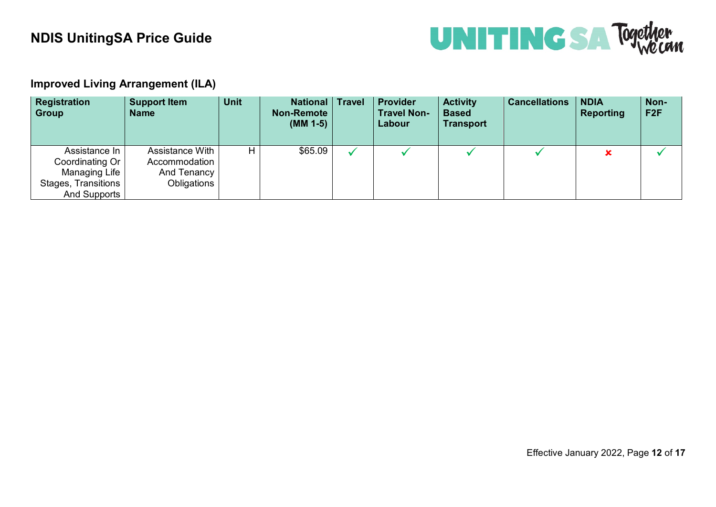

### <span id="page-11-0"></span>**Improved Living Arrangement (ILA)**

| Registration<br><b>Group</b>     | <b>Support Item</b><br><b>Name</b>      | <b>Unit</b> | National Travel<br><b>Non-Remote</b><br>$(MM 1-5)$ | <b>Provider</b><br><b>Travel Non-</b><br><b>Labour</b> | <b>Activity</b><br><b>Based</b><br><b>Transport</b> | <b>Cancellations</b> | <b>NDIA</b><br><b>Reporting</b> | Non-<br>F2F |
|----------------------------------|-----------------------------------------|-------------|----------------------------------------------------|--------------------------------------------------------|-----------------------------------------------------|----------------------|---------------------------------|-------------|
| Assistance In<br>Coordinating Or | <b>Assistance With</b><br>Accommodation | H           | \$65.09                                            |                                                        |                                                     |                      | ×                               |             |
| Managing Life                    | And Tenancy                             |             |                                                    |                                                        |                                                     |                      |                                 |             |
| Stages, Transitions              | Obligations                             |             |                                                    |                                                        |                                                     |                      |                                 |             |
| <b>And Supports</b>              |                                         |             |                                                    |                                                        |                                                     |                      |                                 |             |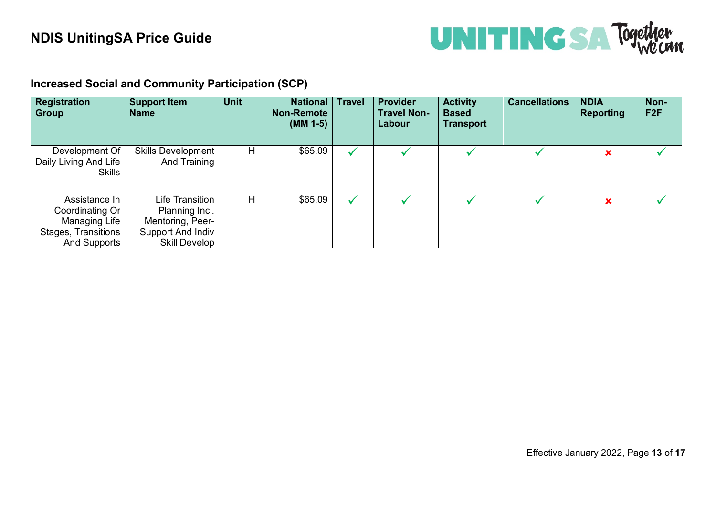

### <span id="page-12-0"></span>**Increased Social and Community Participation (SCP)**

| Registration<br>Group                                                                           | <b>Support Item</b><br><b>Name</b>                                                                 | <b>Unit</b> | <b>National</b><br><b>Non-Remote</b><br>$(MM 1-5)$ | <b>Travel</b> | <b>Provider</b><br><b>Travel Non-</b><br>Labour | <b>Activity</b><br><b>Based</b><br><b>Transport</b> | <b>Cancellations</b> | <b>NDIA</b><br><b>Reporting</b> | Non-<br>F <sub>2F</sub> |
|-------------------------------------------------------------------------------------------------|----------------------------------------------------------------------------------------------------|-------------|----------------------------------------------------|---------------|-------------------------------------------------|-----------------------------------------------------|----------------------|---------------------------------|-------------------------|
| Development Of<br>Daily Living And Life<br><b>Skills</b>                                        | <b>Skills Development</b><br>And Training                                                          | H           | \$65.09                                            |               |                                                 |                                                     |                      | $\mathbf x$                     |                         |
| Assistance In<br>Coordinating Or<br>Managing Life<br>Stages, Transitions<br><b>And Supports</b> | Life Transition<br>Planning Incl.<br>Mentoring, Peer-<br>Support And Indiv<br><b>Skill Develop</b> | H           | \$65.09                                            |               |                                                 |                                                     |                      | ×                               |                         |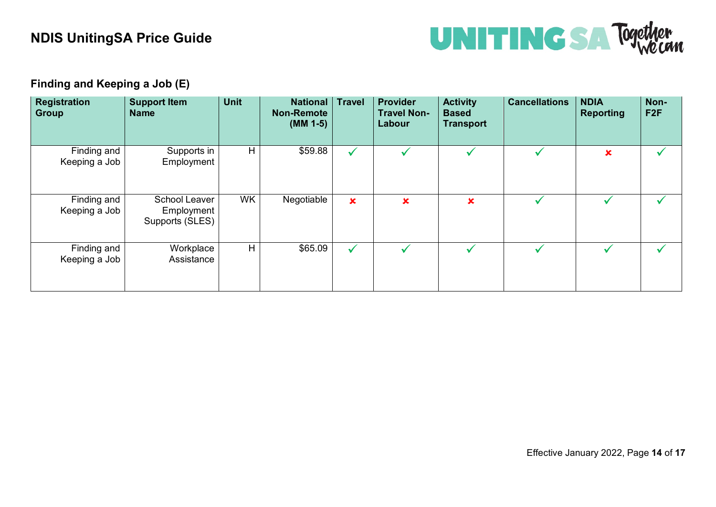

### <span id="page-13-0"></span>**Finding and Keeping a Job (E)**

| Registration<br><b>Group</b> | <b>Support Item</b><br><b>Name</b>             | <b>Unit</b> | <b>National</b><br><b>Non-Remote</b><br>$(MM 1-5)$ | <b>Travel</b> | <b>Provider</b><br><b>Travel Non-</b><br>Labour | <b>Activity</b><br><b>Based</b><br><b>Transport</b> | <b>Cancellations</b> | <b>NDIA</b><br><b>Reporting</b> | Non-<br>F <sub>2F</sub> |
|------------------------------|------------------------------------------------|-------------|----------------------------------------------------|---------------|-------------------------------------------------|-----------------------------------------------------|----------------------|---------------------------------|-------------------------|
| Finding and<br>Keeping a Job | Supports in<br>Employment                      | H           | \$59.88                                            |               |                                                 |                                                     |                      | $\mathbf x$                     |                         |
| Finding and<br>Keeping a Job | School Leaver<br>Employment<br>Supports (SLES) | <b>WK</b>   | Negotiable                                         | $\mathbf x$   | $\mathbf x$                                     | $\mathbf x$                                         |                      |                                 |                         |
| Finding and<br>Keeping a Job | Workplace<br>Assistance                        | H           | \$65.09                                            | $\checkmark$  |                                                 |                                                     |                      |                                 |                         |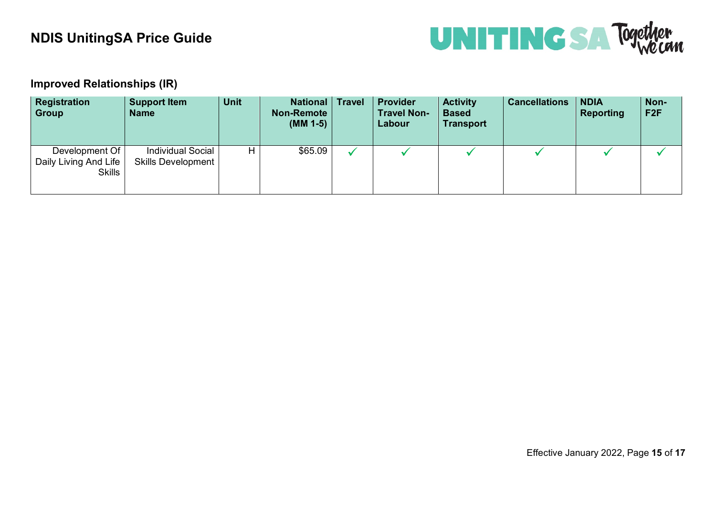

### <span id="page-14-0"></span>**Improved Relationships (IR)**

| Registration<br>Group                                      | <b>Support Item</b><br><b>Name</b>      | <b>Unit</b> | National<br><b>Non-Remote</b><br>$(MM 1-5)$ | <b>Travel</b> | <b>Provider</b><br><b>Travel Non-</b><br>Labour | <b>Activity</b><br><b>Based</b><br><b>Transport</b> | <b>Cancellations</b> | <b>NDIA</b><br><b>Reporting</b> | Non-<br>F <sub>2F</sub> |
|------------------------------------------------------------|-----------------------------------------|-------------|---------------------------------------------|---------------|-------------------------------------------------|-----------------------------------------------------|----------------------|---------------------------------|-------------------------|
| Development Of  <br>Daily Living And Life<br><b>Skills</b> | Individual Social<br>Skills Development | Н           | \$65.09                                     |               |                                                 |                                                     |                      |                                 |                         |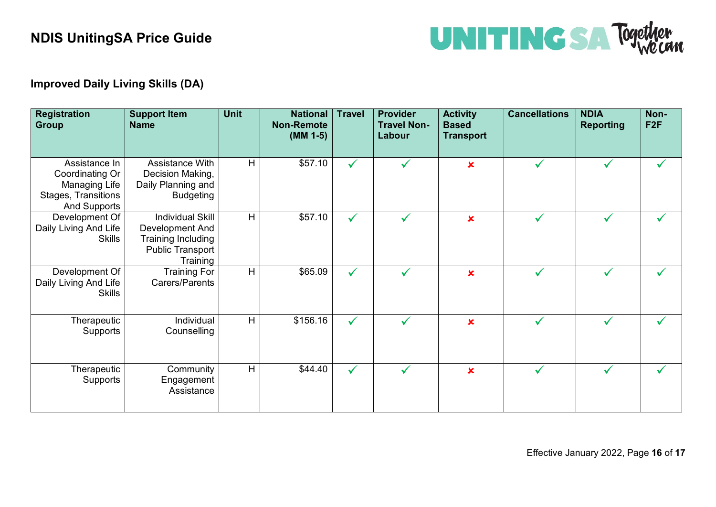

### <span id="page-15-0"></span>**Improved Daily Living Skills (DA)**

| <b>Registration</b><br><b>Group</b>                                                             | <b>Support Item</b><br><b>Name</b>                                                               | <b>Unit</b> | <b>National</b><br><b>Non-Remote</b><br>$(MM 1-5)$ | <b>Travel</b> | <b>Provider</b><br><b>Travel Non-</b><br>Labour | <b>Activity</b><br><b>Based</b><br><b>Transport</b> | <b>Cancellations</b> | <b>NDIA</b><br><b>Reporting</b> | Non-<br>F2F |
|-------------------------------------------------------------------------------------------------|--------------------------------------------------------------------------------------------------|-------------|----------------------------------------------------|---------------|-------------------------------------------------|-----------------------------------------------------|----------------------|---------------------------------|-------------|
| Assistance In<br>Coordinating Or<br>Managing Life<br>Stages, Transitions<br><b>And Supports</b> | Assistance With<br>Decision Making,<br>Daily Planning and<br><b>Budgeting</b>                    | H           | \$57.10                                            | $\checkmark$  |                                                 | $\pmb{\times}$                                      | ✔                    |                                 |             |
| Development Of<br>Daily Living And Life<br><b>Skills</b>                                        | <b>Individual Skill</b><br>Development And<br>Training Including<br>Public Transport<br>Training | H           | \$57.10                                            |               |                                                 | $\pmb{\times}$                                      |                      |                                 |             |
| Development Of<br>Daily Living And Life<br><b>Skills</b>                                        | <b>Training For</b><br>Carers/Parents                                                            | H           | \$65.09                                            | $\checkmark$  |                                                 | $\pmb{\times}$                                      |                      |                                 |             |
| Therapeutic<br>Supports                                                                         | Individual<br>Counselling                                                                        | H           | \$156.16                                           | $\checkmark$  |                                                 | $\mathbf x$                                         |                      | $\checkmark$                    |             |
| Therapeutic<br>Supports                                                                         | Community<br>Engagement<br>Assistance                                                            | H           | \$44.40                                            | $\checkmark$  |                                                 | $\mathbf x$                                         |                      |                                 |             |